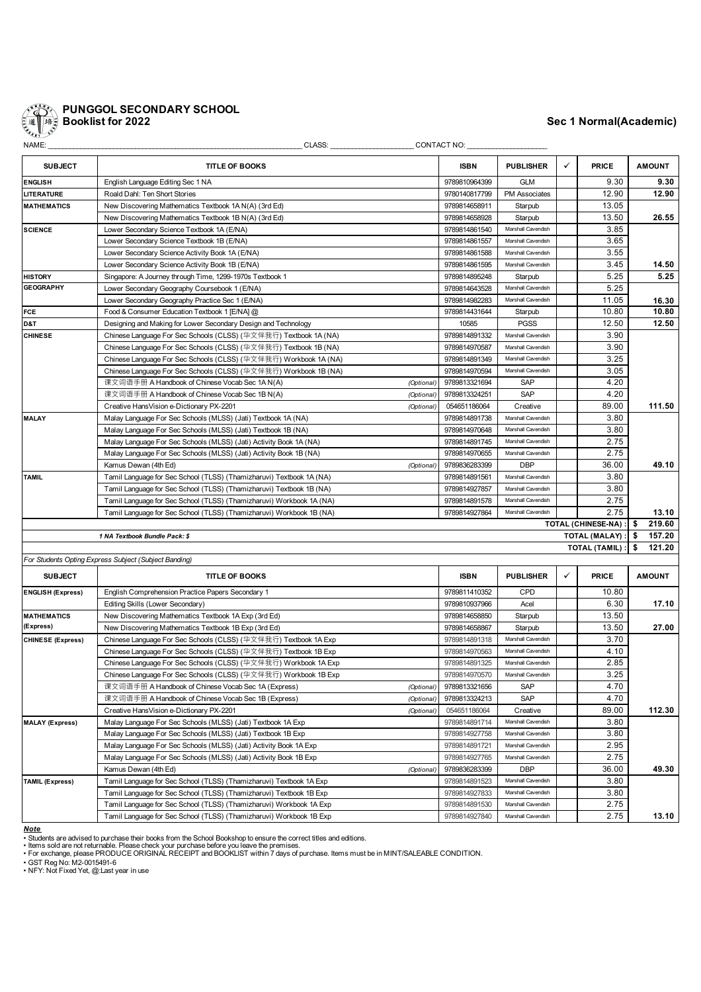

# **PUNGGOL SECONDARY SCHOOL Booklist for 2022 Sec 1 Normal(Academic)**

| NAME:                    | CLASS:                                                               |               | CONTACT NO:        |                    |      |                      |               |
|--------------------------|----------------------------------------------------------------------|---------------|--------------------|--------------------|------|----------------------|---------------|
| <b>SUBJECT</b>           | <b>TITLE OF BOOKS</b>                                                |               | <b>ISBN</b>        | <b>PUBLISHER</b>   | ✓    | <b>PRICE</b>         | <b>AMOUNT</b> |
| <b>ENGLISH</b>           | English Language Editing Sec 1 NA                                    |               | 9789810964399      | <b>GLM</b>         |      | 9.30                 | 9.30          |
| <b>LITERATURE</b>        | Roald Dahl: Ten Short Stories                                        |               | 9780140817799      | PM Associates      |      | 12.90                | 12.90         |
| <b>MATHEMATICS</b>       | New Discovering Mathematics Textbook 1A N(A) (3rd Ed)                |               | 9789814658911      | Starpub            |      | 13.05                |               |
|                          | New Discovering Mathematics Textbook 1B N(A) (3rd Ed)                |               | 9789814658928      | Starpub            |      | 13.50                | 26.55         |
| <b>SCIENCE</b>           | Lower Secondary Science Textbook 1A (E/NA)                           |               | 9789814861540      | Marshall Cavendish |      | 3.85                 |               |
|                          | Lower Secondary Science Textbook 1B (E/NA)                           |               | 9789814861557      | Marshall Cavendish |      | 3.65                 |               |
|                          | Lower Secondary Science Activity Book 1A (E/NA)                      |               | 9789814861588      | Marshall Cavendish |      | 3.55                 |               |
|                          | Lower Secondary Science Activity Book 1B (E/NA)                      |               | 9789814861595      | Marshall Cavendish |      | 3.45                 | 14.50         |
| <b>HISTORY</b>           | Singapore: A Journey through Time, 1299-1970s Textbook 1             |               | 9789814895248      | Starpub            |      | 5.25                 | 5.25          |
| <b>GEOGRAPHY</b>         | Lower Secondary Geography Coursebook 1 (E/NA)                        |               | 9789814643528      | Marshall Cavendish |      | 5.25                 |               |
|                          | Lower Secondary Geography Practice Sec 1 (E/NA)                      |               | 9789814982283      | Marshall Cavendish |      | 11.05                | 16.30         |
| FCE                      | Food & Consumer Education Textbook 1 [E/NA] @                        |               | 9789814431644      | Starpub            |      | 10.80                | 10.80         |
| D&T                      | Designing and Making for Lower Secondary Design and Technology       |               | 10585              | <b>PGSS</b>        |      | 12.50                | 12.50         |
| <b>CHINESE</b>           | Chinese Language For Sec Schools (CLSS) (华文伴我行) Textbook 1A (NA)     |               | 9789814891332      | Marshall Cavendish |      | 3.90                 |               |
|                          | Chinese Language For Sec Schools (CLSS) (华文伴我行) Textbook 1B (NA)     | 9789814970587 | Marshall Cavendish |                    | 3.90 |                      |               |
|                          | Chinese Language For Sec Schools (CLSS) (华文伴我行) Workbook 1A (NA)     |               | 9789814891349      | Marshall Cavendish |      | 3.25                 |               |
|                          | Chinese Language For Sec Schools (CLSS) (华文伴我行) Workbook 1B (NA)     |               | 9789814970594      | Marshall Cavendish |      | 3.05                 |               |
|                          | 课文词语手册 A Handbook of Chinese Vocab Sec 1A N(A)                       | (Optional)    | 9789813321694      | SAP                |      | 4.20                 |               |
|                          | 课文词语手册 A Handbook of Chinese Vocab Sec 1B N(A)                       | (Optional)    | 9789813324251      | SAP                |      | 4.20                 |               |
|                          | Creative HansVision e-Dictionary PX-2201                             | (Optional)    | 054651186064       | Creative           |      | 89.00                | 111.50        |
| <b>MALAY</b>             | Malay Language For Sec Schools (MLSS) (Jati) Textbook 1A (NA)        |               | 9789814891738      | Marshall Cavendish |      | 3.80                 |               |
|                          | Malay Language For Sec Schools (MLSS) (Jati) Textbook 1B (NA)        |               | 9789814970648      | Marshall Cavendish |      | 3.80                 |               |
|                          | Malay Language For Sec Schools (MLSS) (Jati) Activity Book 1A (NA)   |               | 9789814891745      | Marshall Cavendish |      | 2.75                 |               |
|                          | Malay Language For Sec Schools (MLSS) (Jati) Activity Book 1B (NA)   |               | 9789814970655      | Marshall Cavendish |      | 2.75                 |               |
|                          | Kamus Dewan (4th Ed)                                                 | (Optional)    | 9789836283399      | <b>DBP</b>         |      | 36.00                | 49.10         |
| <b>TAMIL</b>             | Tamil Language for Sec School (TLSS) (Thamizharuvi) Textbook 1A (NA) |               | 9789814891561      | Marshall Cavendish |      | 3.80                 |               |
|                          | Tamil Language for Sec School (TLSS) (Thamizharuvi) Textbook 1B (NA) |               | 9789814927857      | Marshall Cavendish |      | 3.80                 |               |
|                          | Tamil Language for Sec School (TLSS) (Thamizharuvi) Workbook 1A (NA) |               | 9789814891578      | Marshall Cavendish |      | 2.75                 |               |
|                          | Tamil Language for Sec School (TLSS) (Thamizharuvi) Workbook 1B (NA) |               | 9789814927864      | Marshall Cavendish |      | 2.75                 | 13.10         |
|                          |                                                                      |               |                    |                    |      | TOTAL (CHINESE-NA):  | 219.60<br>\$  |
|                          | 1 NA Textbook Bundle Pack: \$                                        |               |                    |                    |      | TOTAL (MALAY) :      | 157.20<br>\$  |
|                          |                                                                      |               |                    |                    |      | <b>TOTAL (TAMIL)</b> | 121.20        |
|                          | For Students Opting Express Subject (Subject Banding)                |               |                    |                    |      |                      |               |
| <b>SUBJECT</b>           | <b>TITLE OF BOOKS</b>                                                |               | <b>ISBN</b>        | <b>PUBLISHER</b>   | ✓    | <b>PRICE</b>         | <b>AMOUNT</b> |
| <b>ENGLISH (Express)</b> | English Comprehension Practice Papers Secondary 1                    |               | 9789811410352      | CPD                |      | 10.80                |               |
|                          | Editing Skills (Lower Secondary)                                     |               | 9789810937966      | Acel               |      | 6.30                 | 17.10         |
| <b>MATHEMATICS</b>       | New Discovering Mathematics Textbook 1A Exp (3rd Ed)                 |               | 9789814658850      | Starpub            |      | 13.50                |               |
| (Express)                | New Discovering Mathematics Textbook 1B Exp (3rd Ed)                 |               | 9789814658867      | Starpub            |      | 13.50                | 27.00         |
| <b>CHINESE (Express)</b> | Chinese Language For Sec Schools (CLSS) (华文伴我行) Textbook 1A Exp      |               | 9789814891318      | Marshall Cavendish |      | 3.70                 |               |
|                          | Chinese Language For Sec Schools (CLSS) (华文伴我行) Textbook 1B Exp      |               | 9789814970563      | Marshall Cavendish |      | 4.10                 |               |
|                          | Chinese Language For Sec Schools (CLSS) (华文伴我行) Workbook 1A Exp      |               | 9789814891325      | Marshall Cavendish |      | 2.85                 |               |
|                          | Chinese Language For Sec Schools (CLSS) (华文伴我行) Workbook 1B Exp      |               | 9789814970570      | Marshall Cavendish |      | 3.25                 |               |
|                          | 课文词语手册 A Handbook of Chinese Vocab Sec 1A (Express)                  | (Optional)    | 9789813321656      | SAP                |      | 4.70                 |               |
|                          | 课文词语手册 A Handbook of Chinese Vocab Sec 1B (Express)                  | (Optional)    | 9789813324213      | SAP                |      | 4.70                 |               |
|                          | Creative HansVision e-Dictionary PX-2201                             | (Optional)    | 054651186064       | Creative           |      | 89.00                | 112.30        |
| <b>MALAY (Express)</b>   | Malay Language For Sec Schools (MLSS) (Jati) Textbook 1A Exp         |               | 9789814891714      | Marshall Cavendish |      | 3.80                 |               |
|                          | Malay Language For Sec Schools (MLSS) (Jati) Textbook 1B Exp         |               | 9789814927758      | Marshall Cavendish |      | 3.80                 |               |
|                          | Malay Language For Sec Schools (MLSS) (Jati) Activity Book 1A Exp    |               | 9789814891721      | Marshall Cavendish |      | 2.95                 |               |
|                          | Malay Language For Sec Schools (MLSS) (Jati) Activity Book 1B Exp    |               | 9789814927765      | Marshall Cavendish |      | 2.75                 |               |
|                          | Kamus Dewan (4th Ed)                                                 | (Optional)    | 9789836283399      | <b>DBP</b>         |      | 36.00                | 49.30         |
| <b>TAMIL (Express)</b>   | Tamil Language for Sec School (TLSS) (Thamizharuvi) Textbook 1A Exp  |               | 9789814891523      | Marshall Cavendish |      | 3.80                 |               |
|                          | Tamil Language for Sec School (TLSS) (Thamizharuvi) Textbook 1B Exp  |               | 9789814927833      | Marshall Cavendish |      | 3.80                 |               |
|                          | Tamil Language for Sec School (TLSS) (Thamizharuvi) Workbook 1A Exp  |               | 9789814891530      | Marshall Cavendish |      | 2.75                 |               |
|                          | Tamil Language for Sec School (TLSS) (Thamizharuvi) Workbook 1B Exp  |               | 9789814927840      | Marshall Cavendish |      | 2.75                 | 13.10         |

*Note*

I

• Students are advised to purchase their books from the School Bookshop to ensure the correct titles and editions.<br>• Items sold are not returnable. Please check your purchase before you leave the premises.<br>• For exchange,

• GST Reg No: M2-0015491-6 • NFY: Not Fixed Yet, @:Last year in use